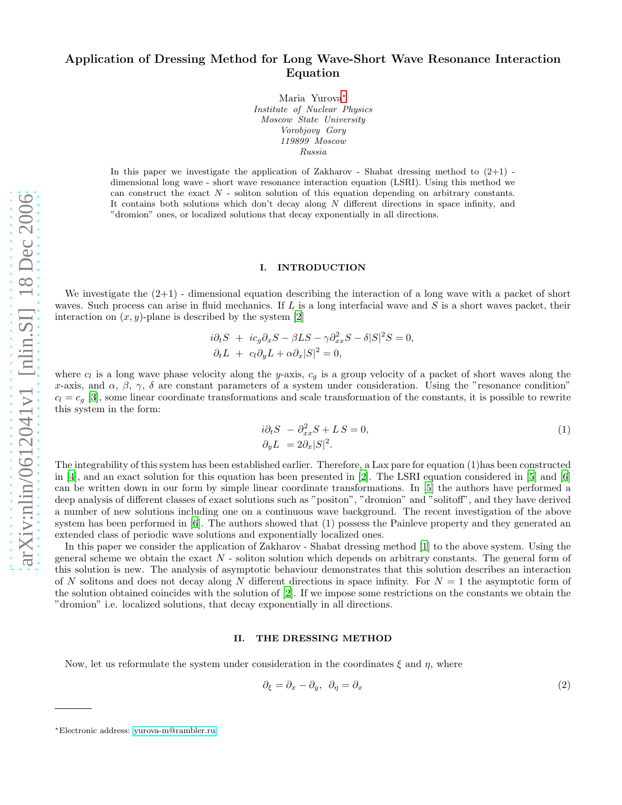# Application of Dressing Method for Long Wave-Short Wave Resonance Interaction Equation

Maria Yurova[∗](#page-0-0) Institute of Nuclear Physics Moscow State University Vorobjovy Gory 119899 Moscow Russia

In this paper we investigate the application of Zakharov - Shabat dressing method to  $(2+1)$  dimensional long wave - short wave resonance interaction equation (LSRI). Using this method we can construct the exact  $N$  - soliton solution of this equation depending on arbitrary constants. It contains both solutions which don't decay along  $N$  different directions in space infinity, and "dromion" ones, or localized solutions that decay exponentially in all directions.

## I. INTRODUCTION

We investigate the (2+1) - dimensional equation describing the interaction of a long wave with a packet of short waves. Such process can arise in fluid mechanics. If L is a long interfacial wave and S is a short waves packet, their interaction on  $(x, y)$ -plane is described by the system [\[2\]](#page-4-0)

$$
i\partial_t S + ic_g \partial_x S - \beta LS - \gamma \partial_{xx}^2 S - \delta |S|^2 S = 0,
$$
  

$$
\partial_t L + c_l \partial_y L + \alpha \partial_x |S|^2 = 0,
$$

where  $c_l$  is a long wave phase velocity along the y-axis,  $c_g$  is a group velocity of a packet of short waves along the x-axis, and  $\alpha$ ,  $\beta$ ,  $\gamma$ ,  $\delta$  are constant parameters of a system under consideration. Using the "resonance condition"  $c_l = c_q$  [\[3\]](#page-4-1), some linear coordinate transformations and scale transformation of the constants, it is possible to rewrite this system in the form:

$$
i\partial_t S - \partial_{xx}^2 S + LS = 0,
$$
  
\n
$$
\partial_y L = 2\partial_x |S|^2.
$$
\n(1)

The integrability of this system has been established earlier. Therefore, a Lax pare for equation (1)has been constructed in [\[4](#page-4-2)], and an exact solution for this equation has been presented in [\[2\]](#page-4-0). The LSRI equation considered in [\[5](#page-4-3)] and [\[6](#page-4-4)] can be written down in our form by simple linear coordinate transformations. In [\[5\]](#page-4-3) the authors have performed a deep analysis of different classes of exact solutions such as "positon", "dromion" and "solitoff", and they have derived a number of new solutions including one on a continuous wave background. The recent investigation of the above system has been performed in [\[6\]](#page-4-4). The authors showed that (1) possess the Painleve property and they generated an extended class of periodic wave solutions and exponentially localized ones.

In this paper we consider the application of Zakharov - Shabat dressing method [\[1\]](#page-4-5) to the above system. Using the general scheme we obtain the exact  $N$  - soliton solution which depends on arbitrary constants. The general form of this solution is new. The analysis of asymptotic behaviour demonstrates that this solution describes an interaction of N solitons and does not decay along N different directions in space infinity. For  $N = 1$  the asymptotic form of the solution obtained coincides with the solution of [\[2](#page-4-0)]. If we impose some restrictions on the constants we obtain the "dromion" i.e. localized solutions, that decay exponentially in all directions.

#### II. THE DRESSING METHOD

Now, let us reformulate the system under consideration in the coordinates  $\xi$  and  $\eta$ , where

$$
\partial_{\xi} = \partial_x - \partial_y, \ \partial_{\eta} = \partial_x \tag{2}
$$

<span id="page-0-0"></span><sup>∗</sup>Electronic address: [yurova-m@rambler.ru](mailto:yurova-m@rambler.ru)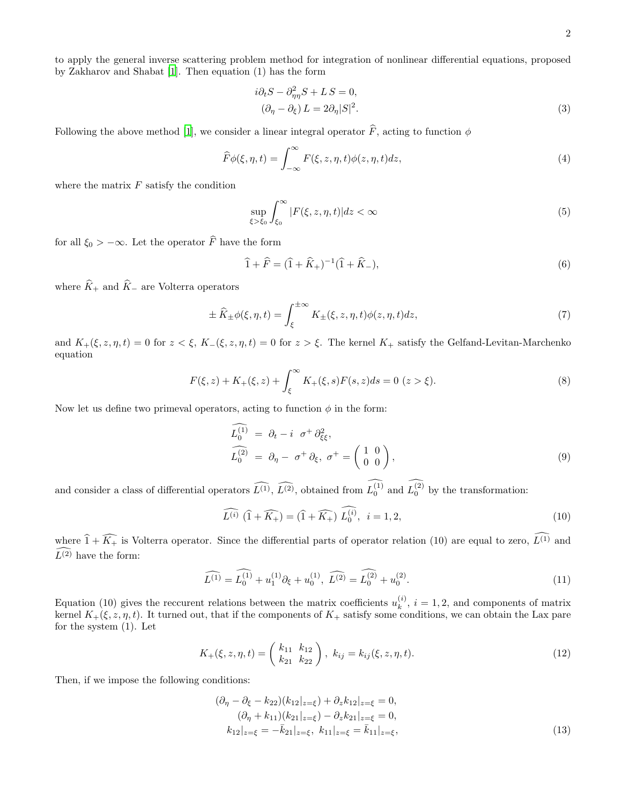to apply the general inverse scattering problem method for integration of nonlinear differential equations, proposed by Zakharov and Shabat [\[1\]](#page-4-5). Then equation (1) has the form

$$
i\partial_t S - \partial_{\eta\eta}^2 S + L S = 0,
$$
  
\n
$$
(\partial_\eta - \partial_\xi) L = 2\partial_\eta |S|^2.
$$
\n(3)

Following the above method [\[1](#page-4-5)], we consider a linear integral operator  $\hat{F}$ , acting to function  $\phi$ 

$$
\widehat{F}\phi(\xi,\eta,t) = \int_{-\infty}^{\infty} F(\xi,z,\eta,t)\phi(z,\eta,t)dz,
$$
\n(4)

where the matrix  $F$  satisfy the condition

$$
\sup_{\xi > \xi_0} \int_{\xi_0}^{\infty} |F(\xi, z, \eta, t)| dz < \infty \tag{5}
$$

for all  $\xi_0 > -\infty$ . Let the operator  $\widehat{F}$  have the form

$$
\widehat{1} + \widehat{F} = (\widehat{1} + \widehat{K}_{+})^{-1}(\widehat{1} + \widehat{K}_{-}),
$$
\n(6)

where  $\widehat{K}_+$  and  $\widehat{K}_-$  are Volterra operators

$$
\pm \widehat{K}_{\pm}\phi(\xi,\eta,t) = \int_{\xi}^{\pm\infty} K_{\pm}(\xi,z,\eta,t)\phi(z,\eta,t)dz,\tag{7}
$$

and  $K_+(\xi, z, \eta, t) = 0$  for  $z < \xi$ ,  $K_-(\xi, z, \eta, t) = 0$  for  $z > \xi$ . The kernel  $K_+$  satisfy the Gelfand-Levitan-Marchenko equation

$$
F(\xi, z) + K_{+}(\xi, z) + \int_{\xi}^{\infty} K_{+}(\xi, s) F(s, z) ds = 0 \ (z > \xi). \tag{8}
$$

Now let us define two primeval operators, acting to function  $\phi$  in the form:

$$
\begin{aligned}\n\widehat{L_0^{(1)}} &= \partial_t - i \ \sigma^+ \partial_{\xi\xi}^2, \\
\widehat{L_0^{(2)}} &= \partial_\eta - \sigma^+ \partial_{\xi}, \ \sigma^+ = \begin{pmatrix} 1 & 0 \\ 0 & 0 \end{pmatrix},\n\end{aligned} \tag{9}
$$

and consider a class of differential operators  $\widehat{L^{(1)}}, \widehat{L^{(2)}},$  obtained from  $L_0^{(1)}$  and  $L_0^{(2)}$  by the transformation:

$$
\widehat{L^{(i)}}\,\left(\widehat{1}+\widehat{K_+}\right) = \left(\widehat{1}+\widehat{K_+}\right)\,\widehat{L_0^{(i)}},\ \ i = 1,2,\tag{10}
$$

where  $\widehat{1} + \widehat{K_+}$  is Volterra operator. Since the differential parts of operator relation (10) are equal to zero,  $\widehat{L^{(1)}}$  and  $\widehat{L^{(2)}}$  have the form:

$$
\widehat{L^{(1)}} = \widehat{L_0^{(1)}} + u_1^{(1)} \partial_{\xi} + u_0^{(1)}, \ \widehat{L^{(2)}} = \widehat{L_0^{(2)}} + u_0^{(2)}.
$$
\n(11)

Equation (10) gives the reccurent relations between the matrix coefficients  $u_k^{(i)}$  $\kappa^{(i)}$ ,  $i = 1, 2$ , and components of matrix kernel  $K_{+}(\xi, z, \eta, t)$ . It turned out, that if the components of  $K_{+}$  satisfy some conditions, we can obtain the Lax pare for the system (1). Let

$$
K_{+}(\xi, z, \eta, t) = \begin{pmatrix} k_{11} & k_{12} \\ k_{21} & k_{22} \end{pmatrix}, \ k_{ij} = k_{ij}(\xi, z, \eta, t). \tag{12}
$$

Then, if we impose the following conditions:

$$
(\partial_{\eta} - \partial_{\xi} - k_{22})(k_{12}|_{z=\xi}) + \partial_{z}k_{12}|_{z=\xi} = 0,
$$
  
\n
$$
(\partial_{\eta} + k_{11})(k_{21}|_{z=\xi}) - \partial_{z}k_{21}|_{z=\xi} = 0,
$$
  
\n
$$
k_{12}|_{z=\xi} = -\bar{k}_{21}|_{z=\xi}, \ k_{11}|_{z=\xi} = \bar{k}_{11}|_{z=\xi},
$$
\n(13)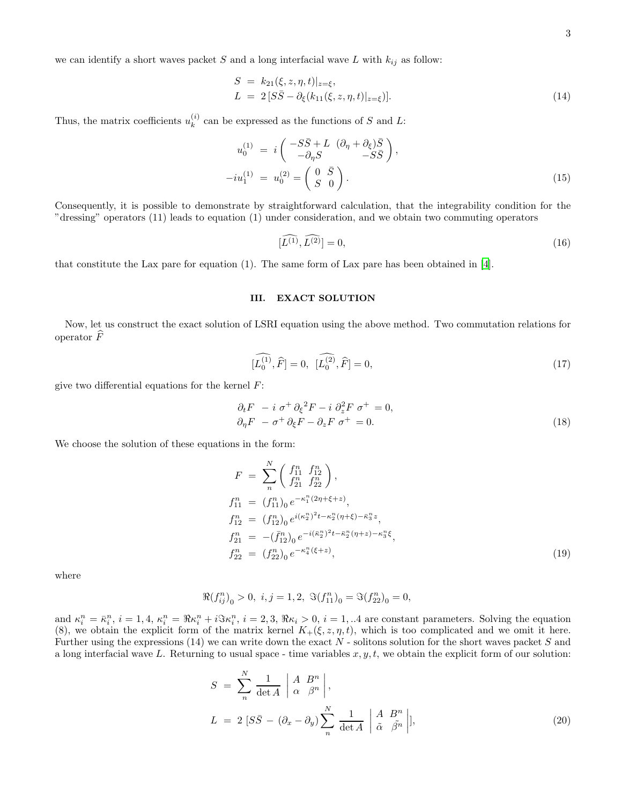we can identify a short waves packet S and a long interfacial wave L with  $k_{ij}$  as follow:

$$
S = k_{21}(\xi, z, \eta, t)|_{z=\xi},
$$
  
\n
$$
L = 2[S\bar{S} - \partial_{\xi}(k_{11}(\xi, z, \eta, t)|_{z=\xi})].
$$
\n(14)

Thus, the matrix coefficients  $u_k^{(i)}$  $\kappa^{(i)}$  can be expressed as the functions of S and L:

$$
u_0^{(1)} = i \begin{pmatrix} -S\bar{S} + L & (\partial_{\eta} + \partial_{\xi})\bar{S} \\ -\partial_{\eta}S & -S\bar{S} \end{pmatrix},
$$
  

$$
-iu_1^{(1)} = u_0^{(2)} = \begin{pmatrix} 0 & \bar{S} \\ S & 0 \end{pmatrix}.
$$
 (15)

Consequently, it is possible to demonstrate by straightforward calculation, that the integrability condition for the "dressing" operators (11) leads to equation (1) under consideration, and we obtain two commuting operators

$$
[\widehat{L^{(1)}}, \widehat{L^{(2)}}] = 0,\tag{16}
$$

that constitute the Lax pare for equation (1). The same form of Lax pare has been obtained in [\[4\]](#page-4-2).

## III. EXACT SOLUTION

Now, let us construct the exact solution of LSRI equation using the above method. Two commutation relations for operator  $\widehat{F}$ 

$$
[\widehat{L_0^{(1)}}, \widehat{F}] = 0, \ \ [\widehat{L_0^{(2)}}, \widehat{F}] = 0,\tag{17}
$$

give two differential equations for the kernel  $F$ :

$$
\begin{aligned}\n\partial_t F - i \, \sigma^+ \partial_{\xi}^2 F - i \, \partial_z^2 F \, \sigma^+ &= 0, \\
\partial_{\eta} F - \sigma^+ \partial_{\xi} F - \partial_z F \, \sigma^+ &= 0.\n\end{aligned} \tag{18}
$$

We choose the solution of these equations in the form:

$$
F = \sum_{n}^{N} \left( \begin{array}{c} f_{11}^{n} & f_{12}^{n} \\ f_{21}^{n} & f_{22}^{n} \end{array} \right),
$$
  
\n
$$
f_{11}^{n} = (f_{11}^{n})_{0} e^{-\kappa_{1}^{n}(2\eta + \xi + z)},
$$
  
\n
$$
f_{12}^{n} = (f_{12}^{n})_{0} e^{i(\kappa_{2}^{n})^{2}t - \kappa_{2}^{n}(\eta + \xi) - \bar{\kappa}_{3}^{n}z},
$$
  
\n
$$
f_{21}^{n} = -(\bar{f}_{12}^{n})_{0} e^{-i(\bar{\kappa}_{2}^{n})^{2}t - \bar{\kappa}_{2}^{n}(\eta + z) - \kappa_{3}^{n}\xi},
$$
  
\n
$$
f_{22}^{n} = (f_{22}^{n})_{0} e^{-\kappa_{4}^{n}(\xi + z)},
$$
\n(19)

where

$$
\Re {(f_{ij}^n)}_0>0,\ i,j=1,2,\ \Im {(f_{11}^n)}_0=\Im {(f_{22}^n)}_0=0,
$$

and  $\kappa_i^n = \bar{\kappa}_i^n$ ,  $i = 1, 4, \kappa_i^n = \Re \kappa_i^n + i \Im \kappa_i^n$ ,  $i = 2, 3, \Re \kappa_i > 0$ ,  $i = 1, ...4$  are constant parameters. Solving the equation (8), we obtain the explicit form of the matrix kernel  $K_{+}(\xi, z, \eta, t)$ , which is too complicated and we omit it here. Further using the expressions  $(14)$  we can write down the exact N - solitons solution for the short waves packet S and a long interfacial wave L. Returning to usual space - time variables  $x, y, t$ , we obtain the explicit form of our solution:

$$
S = \sum_{n}^{N} \frac{1}{\det A} \left| \begin{array}{cc} A & B^{n} \\ \alpha & \beta^{n} \end{array} \right|,
$$
  
\n
$$
L = 2 \left[ S\bar{S} - (\partial_{x} - \partial_{y}) \sum_{n}^{N} \frac{1}{\det A} \right] \left| \begin{array}{cc} A & B^{n} \\ \tilde{\alpha} & \tilde{\beta^{n}} \end{array} \right|,
$$
\n(20)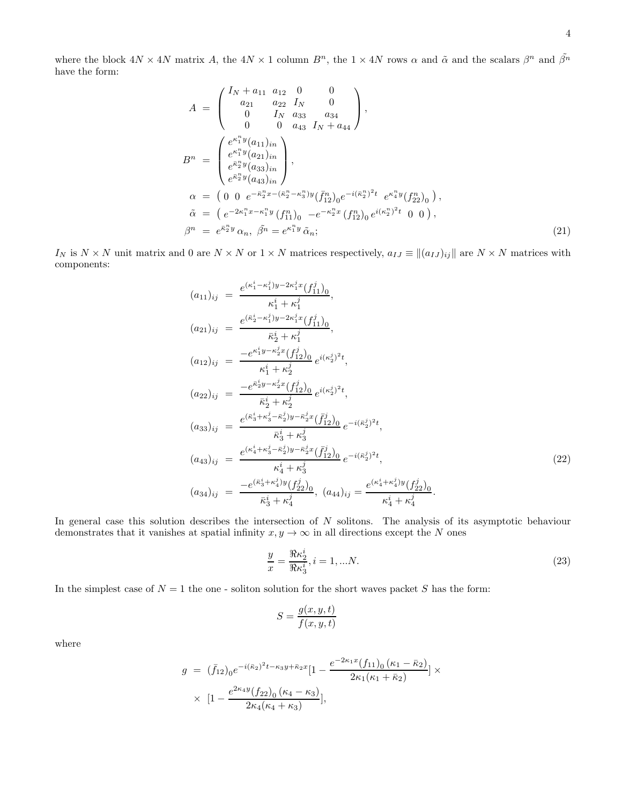where the block  $4N \times 4N$  matrix A, the  $4N \times 1$  column  $B^n$ , the  $1 \times 4N$  rows  $\alpha$  and  $\tilde{\alpha}$  and the scalars  $\beta^n$  and  $\tilde{\beta^n}$ have the form:

$$
A = \begin{pmatrix} I_N + a_{11} & a_{12} & 0 & 0 \\ a_{21} & a_{22} & I_N & 0 \\ 0 & I_N & a_{33} & a_{34} \\ 0 & 0 & a_{43} & I_N + a_{44} \end{pmatrix},
$$
  
\n
$$
B^n = \begin{pmatrix} e^{\kappa_1^n y} (a_{11})_{in} \\ e^{\kappa_1^n y} (a_{21})_{in} \\ e^{\bar{\kappa}_2^n y} (a_{33})_{in} \\ e^{\bar{\kappa}_2^n y} (a_{43})_{in} \end{pmatrix},
$$
  
\n
$$
\alpha = \begin{pmatrix} 0 & 0 & e^{-\bar{\kappa}_2^n x - (\bar{\kappa}_2^n - \kappa_3^n) y} (\bar{f}_{12}^n)_0 e^{-i(\bar{\kappa}_2^n)^2 t} & e^{\kappa_4^n y} (f_{22}^n)_0 \end{pmatrix},
$$
  
\n
$$
\tilde{\alpha} = \begin{pmatrix} e^{-2\kappa_1^n x - \kappa_1^n y} (f_{11}^n)_0 & -e^{-\kappa_2^n x} (f_{12}^n)_0 e^{i(\kappa_2^n)^2 t} & 0 & 0 \end{pmatrix},
$$
  
\n
$$
\beta^n = e^{\bar{\kappa}_2^n y} \alpha_n, \ \tilde{\beta^n} = e^{\kappa_1^n y} \tilde{\alpha}_n;
$$
\n(21)

I<sub>N</sub> is  $N \times N$  unit matrix and 0 are  $N \times N$  or  $1 \times N$  matrices respectively,  $a_{IJ} \equiv ||(a_{IJ})_{ij}||$  are  $N \times N$  matrices with components:

$$
(a_{11})_{ij} = \frac{e^{(\kappa_1^i - \kappa_1^j)y - 2\kappa_1^j x} (f_{11}^j)_0}{\kappa_1^i + \kappa_1^j},
$$
  
\n
$$
(a_{21})_{ij} = \frac{e^{(\bar{\kappa}_2^i - \kappa_1^j)y - 2\kappa_1^j x} (f_{11}^j)_0}{\bar{\kappa}_2^i + \kappa_1^j},
$$
  
\n
$$
(a_{12})_{ij} = \frac{-e^{\kappa_1^i y - \kappa_2^j x} (f_{12}^j)_0}{\kappa_1^i + \kappa_2^j} e^{i(\kappa_2^j)^2 t},
$$
  
\n
$$
(a_{22})_{ij} = \frac{-e^{\bar{\kappa}_2^i y - \kappa_2^j x} (f_{12}^j)_0}{\bar{\kappa}_2^i + \kappa_2^j} e^{i(\kappa_2^j)^2 t},
$$
  
\n
$$
(a_{33})_{ij} = \frac{e^{(\bar{\kappa}_3^i + \kappa_3^j - \bar{\kappa}_2^j)y - \bar{\kappa}_2^j x} (\bar{f}_{12}^j)_0}{\bar{\kappa}_3^i + \kappa_3^j} e^{-i(\bar{\kappa}_2^j)^2 t},
$$
  
\n
$$
(a_{43})_{ij} = \frac{e^{(\kappa_4^i + \kappa_3^j - \bar{\kappa}_2^j)y - \bar{\kappa}_2^j x} (\bar{f}_{12}^j)_0}{\kappa_4^i + \kappa_3^j} e^{-i(\bar{\kappa}_2^j)^2 t},
$$
  
\n
$$
(a_{34})_{ij} = \frac{-e^{(\bar{\kappa}_3^i + \kappa_4^j)y} (f_{22}^j)_0}{\bar{\kappa}_3^i + \kappa_4^j}, \quad (a_{44})_{ij} = \frac{e^{(\kappa_4^i + \kappa_4^j)y} (f_{22}^j)_0}{\kappa_4^i + \kappa_4^j}.
$$
  
\n
$$
(a_{34})_{ij} = \frac{-e^{(\bar{\kappa}_3^i + \kappa_4^j)y} (f_{22}^j)_0}{\bar{\kappa}_3^i + \kappa_4^j},
$$

In general case this solution describes the intersection of  $N$  solitons. The analysis of its asymptotic behaviour demonstrates that it vanishes at spatial infinity  $x, y \to \infty$  in all directions except the N ones

$$
\frac{y}{x} = \frac{\Re \kappa_2^i}{\Re \kappa_3^i}, i = 1, \dots N. \tag{23}
$$

In the simplest case of  $N = 1$  the one - soliton solution for the short waves packet S has the form:

$$
S = \frac{g(x, y, t)}{f(x, y, t)}
$$

where

$$
g = (\bar{f}_{12})_0 e^{-i(\bar{\kappa}_2)^2 t - \kappa_3 y + \bar{\kappa}_2 x} [1 - \frac{e^{-2\kappa_1 x} (f_{11})_0 (\kappa_1 - \bar{\kappa}_2)}{2\kappa_1 (\kappa_1 + \bar{\kappa}_2)}] \times
$$
  
 
$$
\times [1 - \frac{e^{2\kappa_4 y} (f_{22})_0 (\kappa_4 - \kappa_3)}{2\kappa_4 (\kappa_4 + \kappa_3)}],
$$